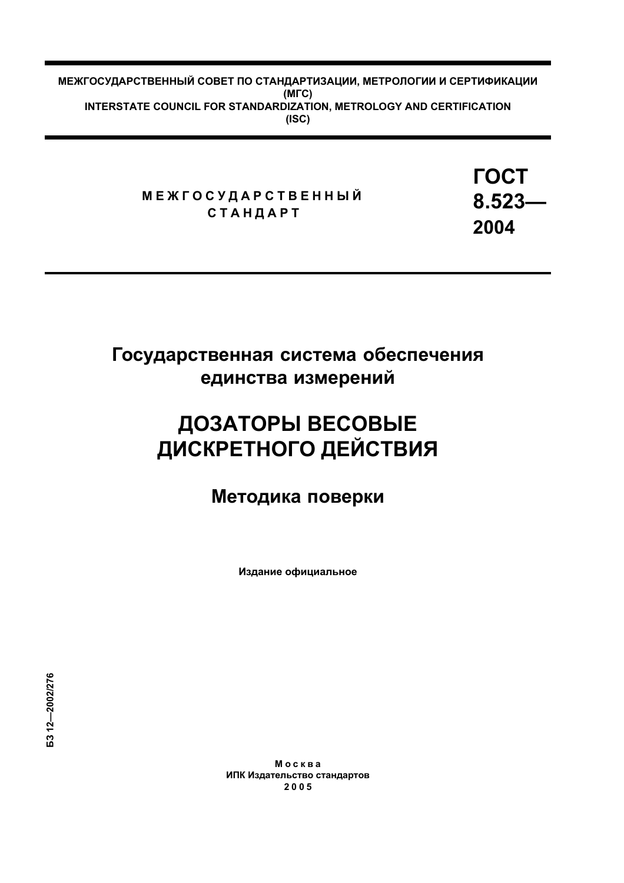МЕЖГОСУДАРСТВЕННЫЙ СОВЕТ ПО СТАНДАРТИЗАЦИИ, МЕТРОЛОГИИ И СЕРТИФИКАЦИИ  $(M<sub>IC</sub>)$ INTERSTATE COUNCIL FOR STANDARDIZATION, METROLOGY AND CERTIFICATION  $(ISC)$ 

> **МЕЖГОСУДАРСТВЕННЫЙ СТАНДАРТ**

**FOCT**  $8.523 -$ 2004

# Государственная система обеспечения единства измерений

# ДОЗАТОРЫ ВЕСОВЫЕ ДИСКРЕТНОГО ДЕЙСТВИЯ

Методика поверки

Издание официальное

Москва ИПК Издательство стандартов 2005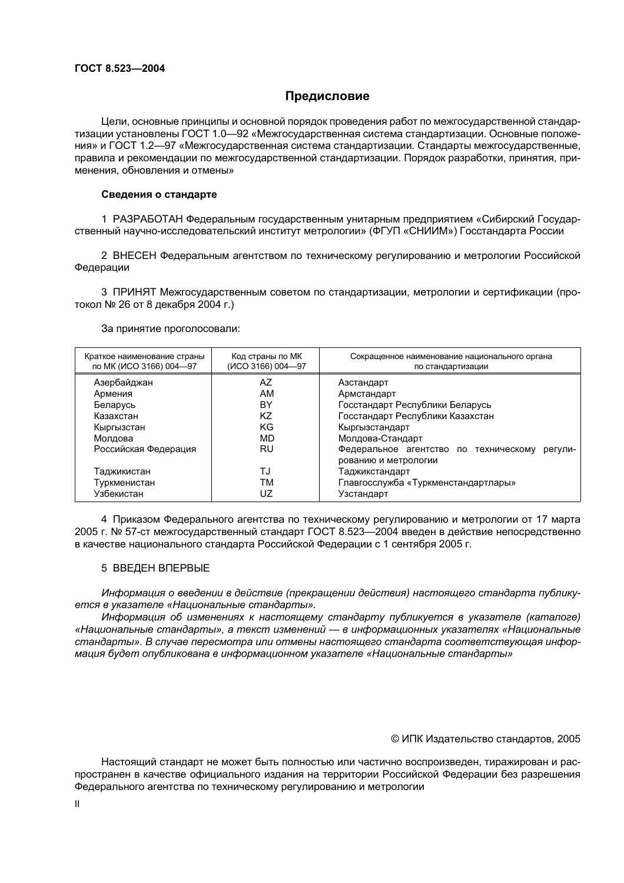# Предисловие

Цели, основные принципы и основной порядок проведения работ по межгосударственной стандартизации установлены ГОСТ 1.0-92 «Межгосударственная система стандартизации. Основные положения» и ГОСТ 1.2—97 «Межгосударственная система стандартизации. Стандарты межгосударственные, правила и рекомендации по межгосударственной стандартизации. Порядок разработки, принятия, применения, обновления и отмены»

#### Сведения о стандарте

1 РАЗРАБОТАН Федеральным государственным унитарным предприятием «Сибирский Государственный научно-исследовательский институт метрологии» (ФГУП «СНИИМ») Госстандарта России

2 ВНЕСЕН Федеральным агентством по техническому регулированию и метрологии Российской Федерации

3 ПРИНЯТ Межгосударственным советом по стандартизации, метрологии и сертификации (протокол № 26 от 8 декабря 2004 г.)

За принятие проголосовали:

| Краткое наименование страны<br>по МК (ИСО 3166) 004-97 | Код страны по МК<br>(ИСО 3166) 004-97 | Сокращенное наименование национального органа<br>по стандартизации       |  |
|--------------------------------------------------------|---------------------------------------|--------------------------------------------------------------------------|--|
| Азербайджан                                            | AZ                                    | Азстандарт                                                               |  |
| Армения                                                | AM                                    | Армстандарт                                                              |  |
| Беларусь                                               | BY                                    | Госстандарт Республики Беларусь<br>Госстандарт Республики Казахстан      |  |
| Казахстан                                              | ΚZ                                    |                                                                          |  |
| Кыргызстан                                             | ΚG                                    | Кыргызстандарт                                                           |  |
| Молдова                                                | MD                                    | Молдова-Стандарт                                                         |  |
| Российская Федерация                                   | RU                                    | Федеральное агентство по техническому<br>регули-<br>рованию и метрологии |  |
| Таджикистан                                            | TJ                                    | Таджикстандарт                                                           |  |
| Туркменистан                                           | тм                                    | Главгосслужба «Туркменстандартлары»                                      |  |
| Узбекистан                                             | UZ                                    | Узстандарт                                                               |  |

4 Приказом Федерального агентства по техническому регулированию и метрологии от 17 марта 2005 г. № 57-ст межгосударственный стандарт ГОСТ 8.523—2004 введен в действие непосредственно в качестве национального стандарта Российской Федерации с 1 сентября 2005 г.

# 5 ВВЕДЕН ВПЕРВЫЕ

Информация о введении в действие (прекращении действия) настоящего стандарта публикуется в указателе «Национальные стандарты».

Информация об изменениях к настоящему стандарту публикуется в указателе (каталоге) «Национальные стандарты», а текст изменений — в информационных указателях «Национальные стандарты». В случае пересмотра или отмены настоящего стандарта соответствующая информация будет опубликована в информационном указателе «Национальные стандарты»

#### © ИПК Издательство стандартов, 2005

Настоящий стандарт не может быть полностью или частично воспроизведен, тиражирован и распространен в качестве официального издания на территории Российской Федерации без разрешения Федерального агентства по техническому регулированию и метрологии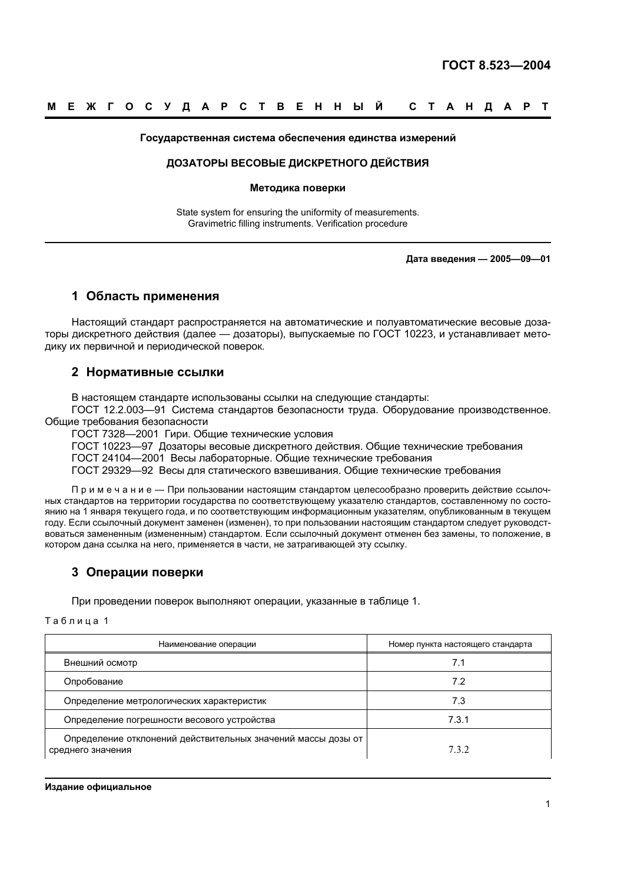#### Государственная система обеспечения единства измерений

#### ДОЗАТОРЫ ВЕСОВЫЕ ДИСКРЕТНОГО ДЕЙСТВИЯ

#### Методика поверки

State system for ensuring the uniformity of measurements. Gravimetric filling instruments. Verification procedure

Дата введения - 2005-09-01

# 1 Область применения

Настоящий стандарт распространяется на автоматические и полуавтоматические весовые дозаторы дискретного действия (далее — дозаторы), выпускаемые по ГОСТ 10223, и устанавливает методику их первичной и периодической поверок.

# 2 Нормативные ссылки

В настоящем стандарте использованы ссылки на следующие стандарты:

ГОСТ 12.2.003-91 Система стандартов безопасности труда. Оборудование производственное. Общие требования безопасности

ГОСТ 7328-2001 Гири. Общие технические условия

ГОСТ 10223-97 Дозаторы весовые дискретного действия. Общие технические требования

ГОСТ 24104-2001 Весы лабораторные. Общие технические требования

ГОСТ 29329-92 Весы для статического взвешивания. Общие технические требования

Примечание - Припользовании настоящим стандартом целесообразно проверить действие ссылочных стандартов на территории государства по соответствующему указателю стандартов, составленному по состоянию на 1 января текущего года, и по соответствующим информационным указателям, опубликованным в текущем году. Если ссылочный документ заменен (изменен), то при пользовании настоящим стандартом следует руководствоваться замененным (измененным) стандартом. Если ссылочный документ отменен без замены, то положение, в котором дана ссылка на него, применяется в части, не затрагивающей эту ссылку.

# 3 Операции поверки

При проведении поверок выполняют операции, указанные в таблице 1.

Таблица 1

| Наименование операции                                                             | Номер пункта настоящего стандарта |
|-----------------------------------------------------------------------------------|-----------------------------------|
| Внешний осмотр                                                                    |                                   |
| Опробование                                                                       | 7.2                               |
| Определение метрологических характеристик                                         | 7.3                               |
| Определение погрешности весового устройства                                       | 7.3.1                             |
| Определение отклонений действительных значений массы дозы от<br>среднего значения | 7.3.2                             |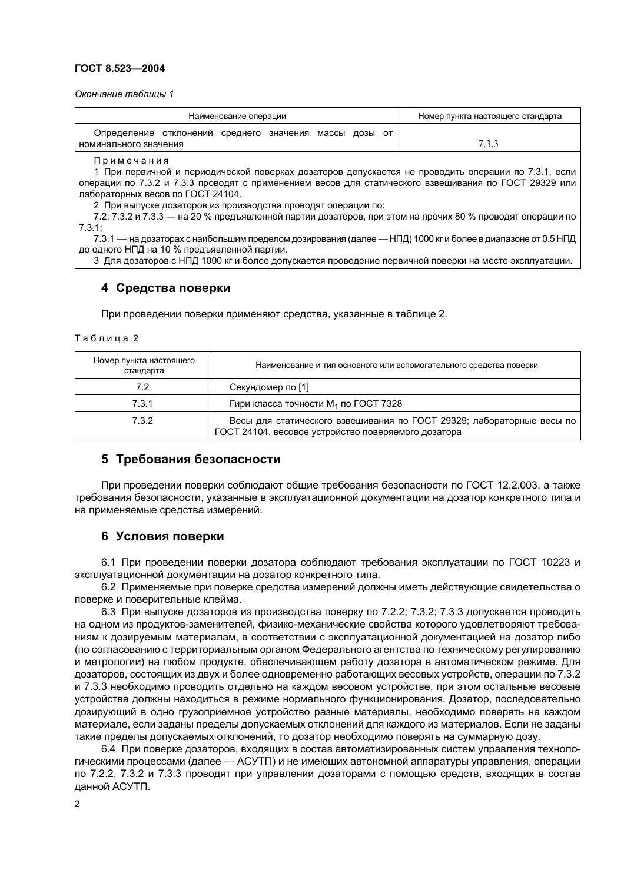#### ГОСТ 8.523-2004

Окончание таблицы 1

| Наименование операции                                                                                       | Номер пункта настоящего стандарта |  |  |  |
|-------------------------------------------------------------------------------------------------------------|-----------------------------------|--|--|--|
| Определение отклонений среднего значения<br>массы дозы от                                                   |                                   |  |  |  |
| номинального значения                                                                                       | 7.3.3                             |  |  |  |
| Примечания                                                                                                  |                                   |  |  |  |
| 1 При первичной и периодической поверках дозаторов допускается не проводить операции по 7.3.1, если         |                                   |  |  |  |
| операции по 7.3.2 и 7.3.3 проводят с применением весов для статического взвешивания по ГОСТ 29329 или       |                                   |  |  |  |
| лабораторных весов по ГОСТ 24104.                                                                           |                                   |  |  |  |
| 2 При выпуске дозаторов из производства проводят операции по:                                               |                                   |  |  |  |
| 7.2; 7.3.2 и 7.3.3 — на 20 % предъявленной партии дозаторов, при этом на прочих 80 % проводят операции по   |                                   |  |  |  |
| $7.3.1$ ;                                                                                                   |                                   |  |  |  |
| 7.3.1 — на дозаторах с наибольшим пределом дозирования (далее — НПД) 1000 кг и более в диапазоне от 0,5 НПД |                                   |  |  |  |
| до одного НПД на 10 % предъявленной партии.                                                                 |                                   |  |  |  |
|                                                                                                             |                                   |  |  |  |

3 Для дозаторов с НПД 1000 кг и более допускается проведение первичной поверки на месте эксплуатации.

# 4 Средства поверки

При проведении поверки применяют средства, указанные в таблице 2.

Таблица 2

| Номер пункта настоящего<br>стандарта | Наименование и тип основного или вспомогательного средства поверки                                                           |
|--------------------------------------|------------------------------------------------------------------------------------------------------------------------------|
| 7.2                                  | Секундомер по [1]                                                                                                            |
| 7.3.1                                | Гири класса точности M <sub>1</sub> по ГОСТ 7328                                                                             |
| 7.3.2                                | Весы для статического взвешивания по ГОСТ 29329; лабораторные весы по<br>ГОСТ 24104, весовое устройство поверяемого дозатора |

# 5 Требования безопасности

При проведении поверки соблюдают общие требования безопасности по ГОСТ 12.2.003, а также требования безопасности, указанные в эксплуатационной документации на дозатор конкретного типа и на применяемые средства измерений.

# 6 Условия поверки

6.1 При проведении поверки дозатора соблюдают требования эксплуатации по ГОСТ 10223 и эксплуатационной документации на дозатор конкретного типа.

6.2 Применяемые при поверке средства измерений должны иметь действующие свидетельства о поверке и поверительные клейма.

6.3 При выпуске дозаторов из производства поверку по 7.2.2; 7.3.2; 7.3.3 допускается проводить на одном из продуктов-заменителей, физико-механические свойства которого удовлетворяют требованиям к дозируемым материалам, в соответствии с эксплуатационной документацией на дозатор либо (по согласованию с территориальным органом Федерального агентства по техническому регулированию и метрологии) на любом продукте, обеспечивающем работу дозатора в автоматическом режиме. Для дозаторов, состоящих из двух и более одновременно работающих весовых устройств, операции по 7.3.2 и 7.3.3 необходимо проводить отдельно на каждом весовом устройстве, при этом остальные весовые устройства должны находиться в режиме нормального функционирования. Дозатор, последовательно дозирующий в одно грузоприемное устройство разные материалы, необходимо поверять на каждом материале, если заданы пределы допускаемых отклонений для каждого из материалов. Если не заданы такие пределы допускаемых отклонений, то дозатор необходимо поверять на суммарную дозу.

6.4 При поверке дозаторов, входящих в состав автоматизированных систем управления технологическими процессами (далее - ACУТП) и не имеющих автономной аппаратуры управления, операции по 7.2.2, 7.3.2 и 7.3.3 проводят при управлении дозаторами с помощью средств, входящих в состав данной АСУТП.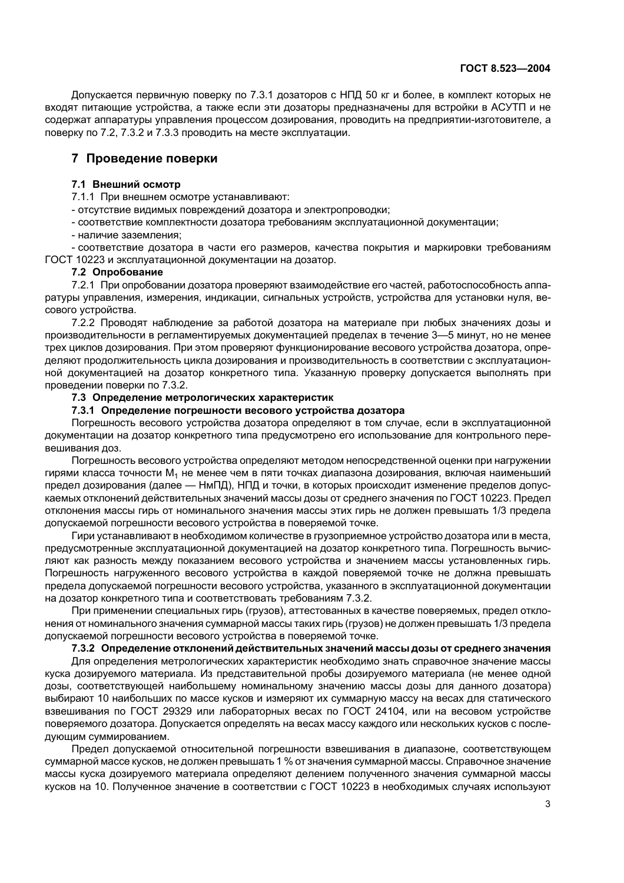Допускается первичную поверку по 7.3.1 дозаторов с НПД 50 кг и более, в комплект которых не входят питающие устройства, а также если эти дозаторы предназначены для встройки в АСУТП и не содержат аппаратуры управления процессом дозирования, проводить на предприятии-изготовителе, а поверку по 7.2, 7.3.2 и 7.3.3 проводить на месте эксплуатации.

# 7 Проведение поверки

#### 7.1 Внешний осмотр

7.1.1 При внешнем осмотре устанавливают:

- ОТСУТСТВИЕ ВИДИМЫХ ПОВРЕЖДЕНИЙ ДОЗАТОРА И ЭЛЕКТРОПРОВОДКИ:

- соответствие комплектности дозатора требованиям эксплуатационной документации;

- наличие заземления:

- соответствие дозатора в части его размеров, качества покрытия и маркировки требованиям ГОСТ 10223 и эксплуатационной документации на дозатор.

#### 7.2 Опробование

7.2.1 При опробовании дозатора проверяют взаимодействие его частей, работоспособность аппаратуры управления, измерения, индикации, сигнальных устройств, устройства для установки нуля, весового устройства.

7.2.2 Проводят наблюдение за работой дозатора на материале при любых значениях дозы и производительности в регламентируемых документацией пределах в течение 3-5 минут, но не менее трех циклов дозирования. При этом проверяют функционирование весового устройства дозатора, определяют продолжительность цикла дозирования и производительность в соответствии с эксплуатационной документацией на дозатор конкретного типа. Указанную проверку допускается выполнять при проведении поверки по 7.3.2.

# 7.3 Определение метрологических характеристик

#### 7.3.1 Определение погрешности весового устройства дозатора

Погрешность весового устройства дозатора определяют в том случае, если в эксплуатационной документации на дозатор конкретного типа предусмотрено его использование для контрольного перевешивания доз.

Погрешность весового устройства определяют методом непосредственной оценки при нагружении гирями класса точности M<sub>1</sub> не менее чем в пяти точках диапазона дозирования, включая наименьший предел дозирования (далее — НмПД), НПД и точки, в которых происходит изменение пределов допускаемых отклонений действительных значений массы дозы от среднего значения по ГОСТ 10223. Предел отклонения массы гирь от номинального значения массы этих гирь не должен превышать 1/3 предела допускаемой погрешности весового устройства в поверяемой точке.

Гири устанавливают в необходимом количестве в грузоприемное устройство дозатора или в места, предусмотренные эксплуатационной документацией на дозатор конкретного типа. Погрешность вычисляют как разность между показанием весового устройства и значением массы установленных гирь. Погрешность нагруженного весового устройства в каждой поверяемой точке не должна превышать предела допускаемой погрешности весового устройства, указанного в эксплуатационной документации на дозатор конкретного типа и соответствовать требованиям 7.3.2.

При применении специальных гирь (грузов), аттестованных в качестве поверяемых, предел отклонения от номинального значения суммарной массы таких гирь (грузов) не должен превышать 1/3 предела допускаемой погрешности весового устройства в поверяемой точке.

# 7.3.2 Определение отклонений действительных значений массы дозы от среднего значения

Для определения метрологических характеристик необходимо знать справочное значение массы куска дозируемого материала. Из представительной пробы дозируемого материала (не менее одной дозы, соответствующей наибольшему номинальному значению массы дозы для данного дозатора) выбирают 10 наибольших по массе кусков и измеряют их суммарную массу на весах для статического взвешивания по ГОСТ 29329 или лабораторных весах по ГОСТ 24104, или на весовом устройстве поверяемого дозатора. Допускается определять на весах массу каждого или нескольких кусков с последующим суммированием.

Предел допускаемой относительной погрешности взвешивания в диапазоне, соответствующем суммарной массе кусков, не должен превышать 1 % от значения суммарной массы. Справочное значение массы куска дозируемого материала определяют делением полученного значения суммарной массы кусков на 10. Полученное значение в соответствии с ГОСТ 10223 в необходимых случаях используют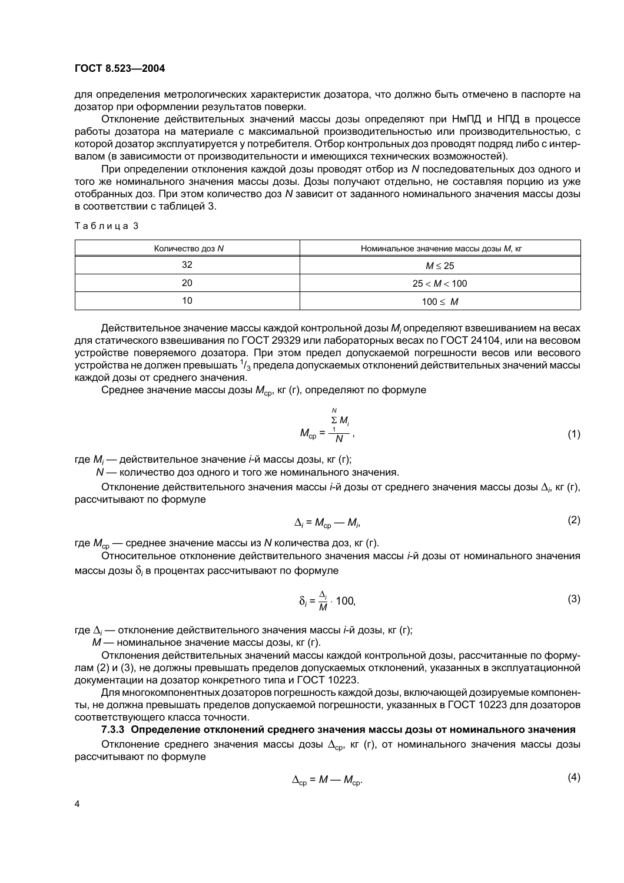#### ГОСТ 8.523-2004

для определения метрологических характеристик дозатора, что должно быть отмечено в паспорте на дозатор при оформлении результатов поверки.

Отклонение действительных значений массы дозы определяют при НмПД и НПД в процессе работы дозатора на материале с максимальной производительностью или производительностью, с которой дозатор эксплуатируется у потребителя. Отбор контрольных доз проводят подряд либо с интервалом (в зависимости от производительности и имеющихся технических возможностей).

При определении отклонения каждой дозы проводят отбор из N последовательных доз одного и того же номинального значения массы дозы. Дозы получают отдельно, не составляя порцию из уже отобранных доз. При этом количество доз N зависит от заданного номинального значения массы дозы в соответствии с таблицей 3.

Таблица 3

| Количество доз N | Номинальное значение массы дозы М, кг |
|------------------|---------------------------------------|
| 32               | $M \leq 25$                           |
| 20               | 25 < M < 100                          |
| 10               | $100 \leq M$                          |

Действительное значение массы каждой контрольной дозы М, определяют взвешиванием на весах для статического взвешивания по ГОСТ 29329 или лабораторных весах по ГОСТ 24104, или на весовом устройстве поверяемого дозатора. При этом предел допускаемой погрешности весов или весового устройства не должен превышать  $\frac{1}{3}$  предела допускаемых отклонений действительных значений массы каждой дозы от среднего значения.

Среднее значение массы дозы  $M_{\rm{co}}$ , кг (г), определяют по формуле

$$
M_{\rm cp} = \frac{\sum_{i=1}^{N} M_i}{N},
$$
 (1)

где  $M_i$  — действительное значение *i*-й массы дозы, кг (г);

N - количество доз одного и того же номинального значения.

Отклонение действительного значения массы *i*-й дозы от среднего значения массы дозы  $\Delta_i$ , кг (г), рассчитывают по формуле

$$
\Delta_i = M_{\rm cp} - M_i,\tag{2}
$$

где  $M_{\rm cn}$  — среднее значение массы из N количества доз, кг (г).

Относительное отклонение действительного значения массы i-й дозы от номинального значения массы дозы  $\delta_i$  в процентах рассчитывают по формуле

$$
\delta_i = \frac{\Delta_i}{M} \cdot 100,\tag{3}
$$

где  $\Delta_i$  — отклонение действительного значения массы *i*-й дозы, кг (г);

М - номинальное значение массы дозы, кг (г).

Отклонения действительных значений массы каждой контрольной дозы, рассчитанные по формулам (2) и (3), не должны превышать пределов допускаемых отклонений, указанных в эксплуатационной документации на дозатор конкретного типа и ГОСТ 10223.

Для многокомпонентных дозаторов погрешность каждой дозы, включающей дозируемые компоненты, не должна превышать пределов допускаемой погрешности, указанных в ГОСТ 10223 для дозаторов соответствующего класса точности.

#### 7.3.3 Определение отклонений среднего значения массы дозы от номинального значения

Отклонение среднего значения массы дозы  $\Delta_{\rm cp}$ , кг (г), от номинального значения массы дозы рассчитывают по формуле

$$
\Delta_{\rm cp} = M - M_{\rm cp}.\tag{4}
$$

 $\mathcal{L}^{\mathcal{L}}$ 

 $\overline{4}$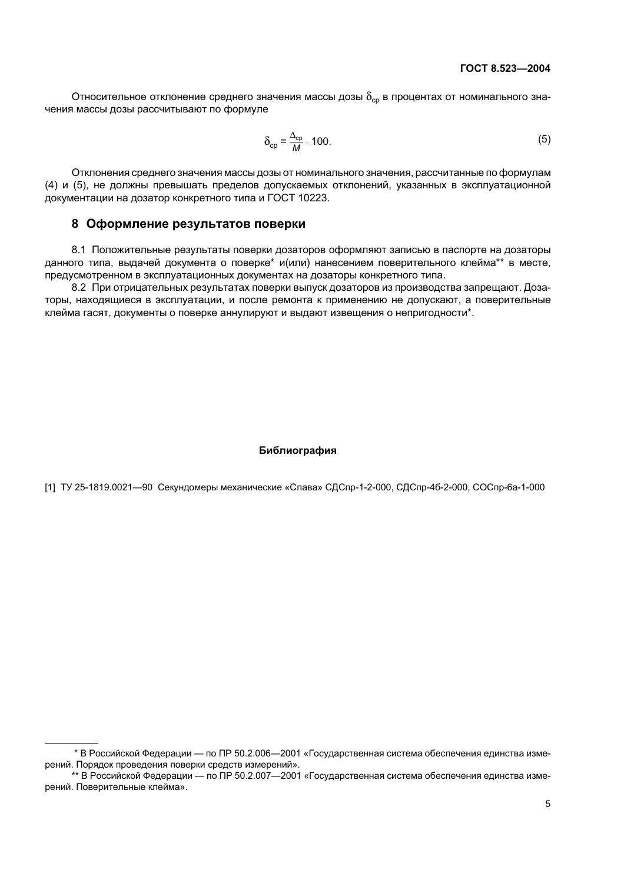Относительное отклонение среднего значения массы дозы  $\delta_{\rm co}$  в процентах от номинального значения массы дозы рассчитывают по формуле

$$
\delta_{\rm cp} = \frac{\Delta_{\rm cp}}{M} \cdot 100. \tag{5}
$$

Отклонения среднего значения массы дозы от номинального значения, рассчитанные по формулам (4) и (5), не должны превышать пределов допускаемых отклонений, указанных в эксплуатационной документации на дозатор конкретного типа и ГОСТ 10223.

# 8 Оформление результатов поверки

8.1 Положительные результаты поверки дозаторов оформляют записью в паспорте на дозаторы данного типа, выдачей документа о поверке\* и(или) нанесением поверительного клейма\*\* в месте, предусмотренном в эксплуатационных документах на дозаторы конкретного типа.

8.2 При отрицательных результатах поверки выпуск дозаторов из производства запрещают. Дозаторы, находящиеся в эксплуатации, и после ремонта к применению не допускают, а поверительные клейма гасят, документы о поверке аннулируют и выдают извещения о непригодности\*.

#### Библиография

[1] ТУ 25-1819.0021-90 Секундомеры механические «Слава» СДСпр-1-2-000, СДСпр-4б-2-000, СОСпр-6а-1-000

<sup>\*</sup> В Российской Федерации — по ПР 50.2.006—2001 «Государственная система обеспечения единства измерений. Порядок проведения поверки средств измерений».

<sup>\*\*</sup> В Российской Федерации - по ПР 50.2.007-2001 «Государственная система обеспечения единства измерений. Поверительные клейма».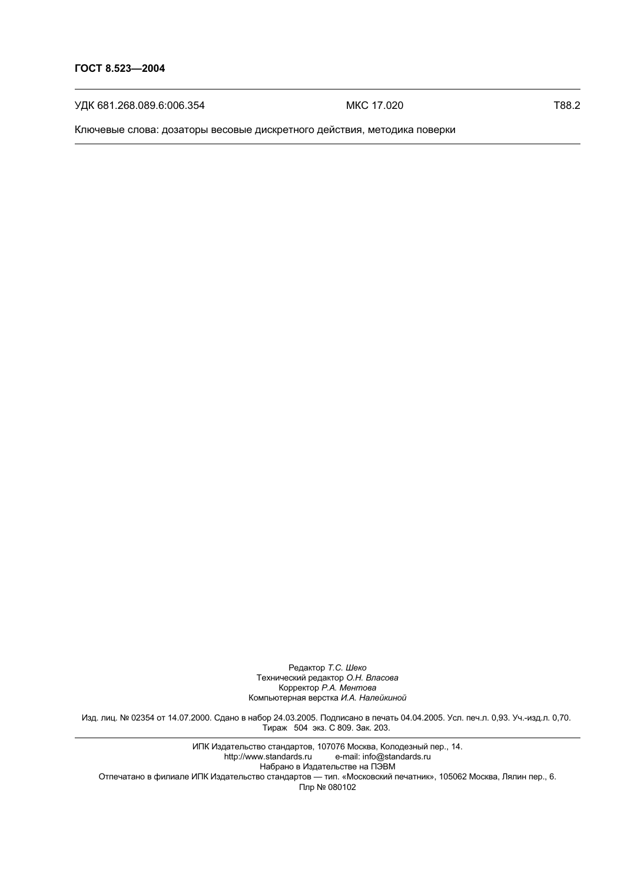УДК 681.268.089.6:006.354

MKC 17.020

T88.2

Ключевые слова: дозаторы весовые дискретного действия, методика поверки

Редактор Т.С. Шеко Технический редактор О.Н. Власова Корректор Р.А. Ментова Компьютерная верстка И.А. Налейкиной

Изд. лиц. № 02354 от 14.07.2000. Сдано в набор 24.03.2005. Подписано в печать 04.04.2005. Усл. печ.л. 0,93. Уч.-изд.л. 0,70. Тираж 504 экз. С 809. Зак. 203.

ИПК Издательство стандартов, 107076 Москва, Колодезный пер., 14. http://www.standards.ru e-mail: info@standards.ru Набрано в Издательстве на ПЭВМ Отпечатано в филиале ИПК Издательство стандартов — тип. «Московский печатник», 105062 Москва, Лялин пер., 6.<br>Плр № 080102